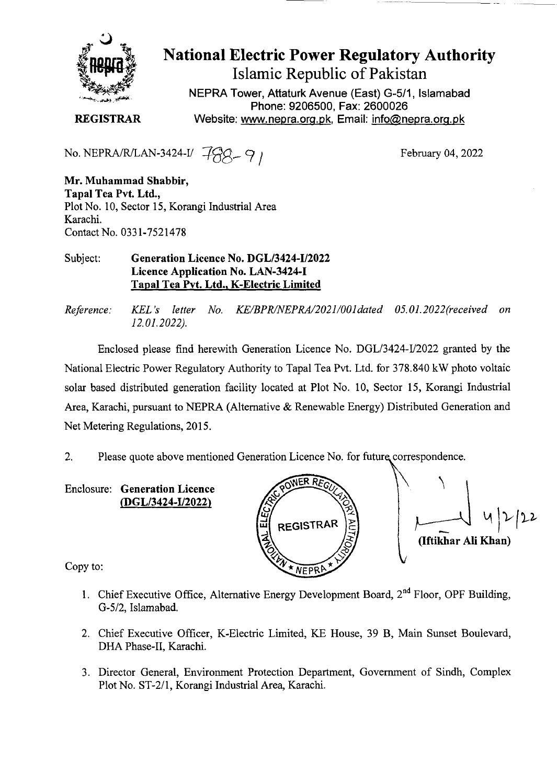

## **National Electric Power Regulatory Authority** Islamic Republic of Pakistan

NEPRA Tower, Attaturk Avenue (East) *G-5/1,* Islamabad Phone: 9206500, Fax: 2600026 REGISTRAR Website: www.nepra.org.pk. Email: info@nepra.org.pk

No. *NEPRA/R/LAN-3424-I/*  $\overline{\mathcal{1}\mathcal{A}}\mathcal{A}-\mathcal{I}$  / February 04, 2022

Mr. Muhammad Shabbir, Tapal Tea Pvt. Ltd., Plot No. 10, Sector 15, Korangi Industrial Area Karachi. Contact No. 0331-7521478

## Subject: Generation Licence No. DGL/3424-I/2022 Licence Application No. LAN-3424-I Tapal Tea Pyt. Ltd., K-Electric Limited

*Reference:* KEL's letter No. KE/BPR/NEPRA/2021/001dated 05.01.2022(received on *12.01.2022).*

Enclosed please find herewith Generation Licence No. DGL/3424-I/2022 granted by the National Electric Power Regulatory Authority to Tapal Tea Pvt. Ltd. for 378.840 kW photo voltaic solar based distributed generation facility located at Plot No. 10, Sector 15, Korangi Industrial Area, Karachi, pursuant to NEPRA (Alternative & Renewable Energy) Distributed Generation and Net Metering Regulations, 2015.

2. Please quote above mentioned Generation Licence No. for future correspondence.

Enclosure: Generation Licence (DGL/3424-I12022)



(Iftikhar Ali Khan)

Copy to:

- 1. Chief Executive Office, Alternative Energy Development Board, 2<sup>nd</sup> Floor, OPF Building, *G-512,* Islamabad.
- 2. Chief Executive Officer, K-Electric Limited, KE House, 39 B, Main Sunset Boulevard, DHA Phase-II, Karachi.
- 3. Director General, Environment Protection Department, Government of Sindh, Complex Plot No. *ST-2/1,* Korangi Industrial Area, Karachi.